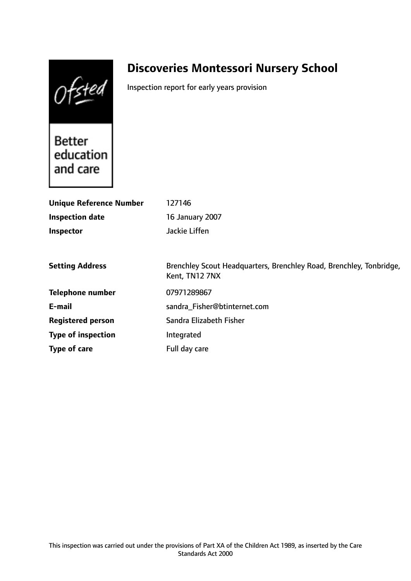Ofsted

# **Discoveries Montessori Nursery School**

Inspection report for early years provision

Better education and care

| <b>Unique Reference Number</b> | 127146                                                                                |
|--------------------------------|---------------------------------------------------------------------------------------|
| <b>Inspection date</b>         | 16 January 2007                                                                       |
| <b>Inspector</b>               | Jackie Liffen                                                                         |
|                                |                                                                                       |
| <b>Setting Address</b>         | Brenchley Scout Headquarters, Brenchley Road, Brenchley, Tonbridge,<br>Kent, TN12 7NX |
| <b>Telephone number</b>        | 07971289867                                                                           |
| E-mail                         | sandra Fisher@btinternet.com                                                          |
| <b>Registered person</b>       | Sandra Elizabeth Fisher                                                               |
| <b>Type of inspection</b>      | Integrated                                                                            |
| Type of care                   | Full day care                                                                         |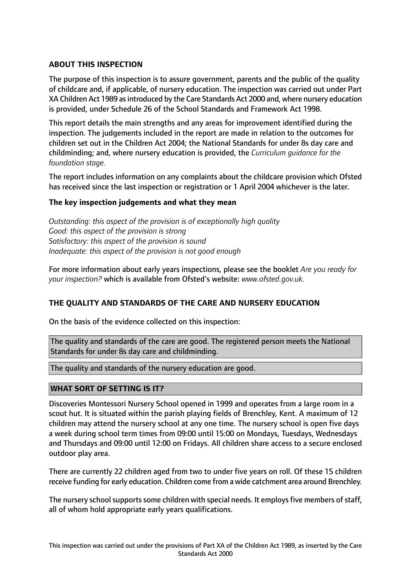# **ABOUT THIS INSPECTION**

The purpose of this inspection is to assure government, parents and the public of the quality of childcare and, if applicable, of nursery education. The inspection was carried out under Part XA Children Act 1989 as introduced by the Care Standards Act 2000 and, where nursery education is provided, under Schedule 26 of the School Standards and Framework Act 1998.

This report details the main strengths and any areas for improvement identified during the inspection. The judgements included in the report are made in relation to the outcomes for children set out in the Children Act 2004; the National Standards for under 8s day care and childminding; and, where nursery education is provided, the *Curriculum guidance for the foundation stage.*

The report includes information on any complaints about the childcare provision which Ofsted has received since the last inspection or registration or 1 April 2004 whichever is the later.

## **The key inspection judgements and what they mean**

*Outstanding: this aspect of the provision is of exceptionally high quality Good: this aspect of the provision is strong Satisfactory: this aspect of the provision is sound Inadequate: this aspect of the provision is not good enough*

For more information about early years inspections, please see the booklet *Are you ready for your inspection?* which is available from Ofsted's website: *www.ofsted.gov.uk.*

## **THE QUALITY AND STANDARDS OF THE CARE AND NURSERY EDUCATION**

On the basis of the evidence collected on this inspection:

The quality and standards of the care are good. The registered person meets the National Standards for under 8s day care and childminding.

The quality and standards of the nursery education are good.

## **WHAT SORT OF SETTING IS IT?**

Discoveries Montessori Nursery School opened in 1999 and operates from a large room in a scout hut. It is situated within the parish playing fields of Brenchley, Kent. A maximum of 12 children may attend the nursery school at any one time. The nursery school is open five days a week during school term times from 09:00 until 15:00 on Mondays, Tuesdays, Wednesdays and Thursdays and 09:00 until 12:00 on Fridays. All children share access to a secure enclosed outdoor play area.

There are currently 22 children aged from two to under five years on roll. Of these 15 children receive funding for early education. Children come from a wide catchment area around Brenchley.

The nursery school supports some children with special needs. It employs five members of staff, all of whom hold appropriate early years qualifications.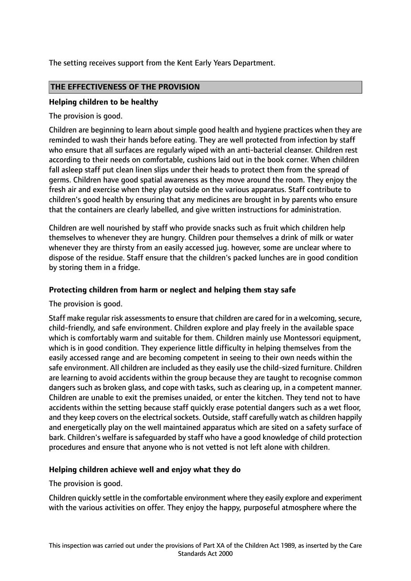The setting receives support from the Kent Early Years Department.

# **THE EFFECTIVENESS OF THE PROVISION**

## **Helping children to be healthy**

The provision is good.

Children are beginning to learn about simple good health and hygiene practices when they are reminded to wash their hands before eating. They are well protected from infection by staff who ensure that all surfaces are regularly wiped with an anti-bacterial cleanser. Children rest according to their needs on comfortable, cushions laid out in the book corner. When children fall asleep staff put clean linen slips under their heads to protect them from the spread of germs. Children have good spatial awareness as they move around the room. They enjoy the fresh air and exercise when they play outside on the various apparatus. Staff contribute to children's good health by ensuring that any medicines are brought in by parents who ensure that the containers are clearly labelled, and give written instructions for administration.

Children are well nourished by staff who provide snacks such as fruit which children help themselves to whenever they are hungry. Children pour themselves a drink of milk or water whenever they are thirsty from an easily accessed jug. however, some are unclear where to dispose of the residue. Staff ensure that the children's packed lunches are in good condition by storing them in a fridge.

## **Protecting children from harm or neglect and helping them stay safe**

The provision is good.

Staff make regular risk assessments to ensure that children are cared for in a welcoming, secure, child-friendly, and safe environment. Children explore and play freely in the available space which is comfortably warm and suitable for them. Children mainly use Montessori equipment, which is in good condition. They experience little difficulty in helping themselves from the easily accessed range and are becoming competent in seeing to their own needs within the safe environment. All children are included as they easily use the child-sized furniture. Children are learning to avoid accidents within the group because they are taught to recognise common dangers such as broken glass, and cope with tasks, such as clearing up, in a competent manner. Children are unable to exit the premises unaided, or enter the kitchen. They tend not to have accidents within the setting because staff quickly erase potential dangers such as a wet floor, and they keep covers on the electrical sockets. Outside, staff carefully watch as children happily and energetically play on the well maintained apparatus which are sited on a safety surface of bark. Children's welfare is safeguarded by staff who have a good knowledge of child protection procedures and ensure that anyone who is not vetted is not left alone with children.

## **Helping children achieve well and enjoy what they do**

## The provision is good.

Children quickly settle in the comfortable environment where they easily explore and experiment with the various activities on offer. They enjoy the happy, purposeful atmosphere where the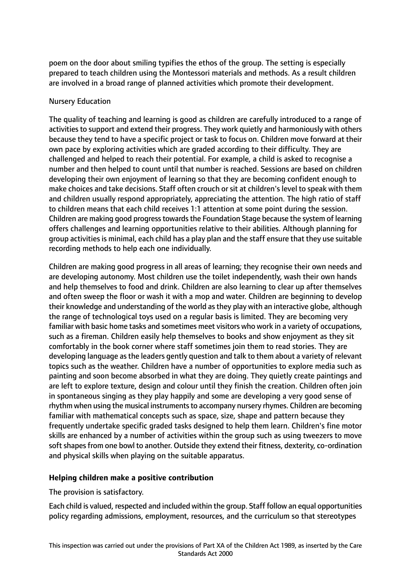poem on the door about smiling typifies the ethos of the group. The setting is especially prepared to teach children using the Montessori materials and methods. As a result children are involved in a broad range of planned activities which promote their development.

#### Nursery Education

The quality of teaching and learning is good as children are carefully introduced to a range of activities to support and extend their progress. They work quietly and harmoniously with others because they tend to have a specific project or task to focus on. Children move forward at their own pace by exploring activities which are graded according to their difficulty. They are challenged and helped to reach their potential. For example, a child is asked to recognise a number and then helped to count until that number is reached. Sessions are based on children developing their own enjoyment of learning so that they are becoming confident enough to make choices and take decisions. Staff often crouch or sit at children's level to speak with them and children usually respond appropriately, appreciating the attention. The high ratio of staff to children means that each child receives 1:1 attention at some point during the session. Children are making good progress towards the Foundation Stage because the system of learning offers challenges and learning opportunities relative to their abilities. Although planning for group activities is minimal, each child has a play plan and the staff ensure that they use suitable recording methods to help each one individually.

Children are making good progress in all areas of learning; they recognise their own needs and are developing autonomy. Most children use the toilet independently, wash their own hands and help themselves to food and drink. Children are also learning to clear up after themselves and often sweep the floor or wash it with a mop and water. Children are beginning to develop their knowledge and understanding of the world asthey play with an interactive globe, although the range of technological toys used on a regular basis is limited. They are becoming very familiar with basic home tasks and sometimes meet visitors who work in a variety of occupations, such as a fireman. Children easily help themselves to books and show enjoyment as they sit comfortably in the book corner where staff sometimes join them to read stories. They are developing language asthe leaders gently question and talk to them about a variety of relevant topics such as the weather. Children have a number of opportunities to explore media such as painting and soon become absorbed in what they are doing. They quietly create paintings and are left to explore texture, design and colour until they finish the creation. Children often join in spontaneous singing as they play happily and some are developing a very good sense of rhythm when using the musical instruments to accompany nursery rhymes. Children are becoming familiar with mathematical concepts such as space, size, shape and pattern because they frequently undertake specific graded tasks designed to help them learn. Children's fine motor skills are enhanced by a number of activities within the group such as using tweezers to move soft shapes from one bowl to another. Outside they extend their fitness, dexterity, co-ordination and physical skills when playing on the suitable apparatus.

## **Helping children make a positive contribution**

The provision is satisfactory.

Each child is valued, respected and included within the group. Staff follow an equal opportunities policy regarding admissions, employment, resources, and the curriculum so that stereotypes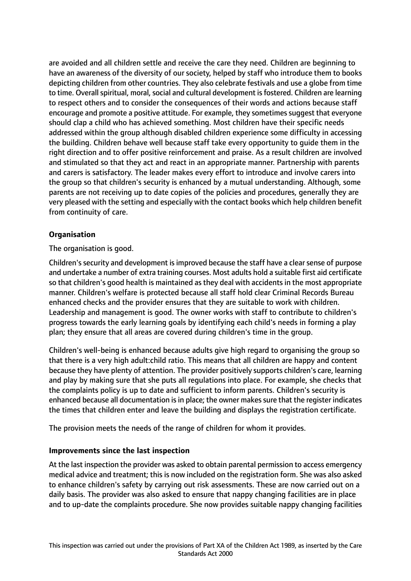are avoided and all children settle and receive the care they need. Children are beginning to have an awareness of the diversity of our society, helped by staff who introduce them to books depicting children from other countries. They also celebrate festivals and use a globe from time to time. Overall spiritual, moral, social and cultural development is fostered. Children are learning to respect others and to consider the consequences of their words and actions because staff encourage and promote a positive attitude. For example, they sometimes suggest that everyone should clap a child who has achieved something. Most children have their specific needs addressed within the group although disabled children experience some difficulty in accessing the building. Children behave well because staff take every opportunity to guide them in the right direction and to offer positive reinforcement and praise. As a result children are involved and stimulated so that they act and react in an appropriate manner. Partnership with parents and carers is satisfactory. The leader makes every effort to introduce and involve carers into the group so that children's security is enhanced by a mutual understanding. Although, some parents are not receiving up to date copies of the policies and procedures, generally they are very pleased with the setting and especially with the contact books which help children benefit from continuity of care.

# **Organisation**

The organisation is good.

Children's security and development is improved because the staff have a clear sense of purpose and undertake a number of extra training courses. Most adults hold a suitable first aid certificate so that children's good health is maintained as they deal with accidents in the most appropriate manner. Children's welfare is protected because all staff hold clear Criminal Records Bureau enhanced checks and the provider ensures that they are suitable to work with children. Leadership and management is good. The owner works with staff to contribute to children's progress towards the early learning goals by identifying each child's needs in forming a play plan; they ensure that all areas are covered during children's time in the group.

Children's well-being is enhanced because adults give high regard to organising the group so that there is a very high adult:child ratio. This means that all children are happy and content because they have plenty of attention. The provider positively supports children's care, learning and play by making sure that she puts all regulations into place. For example, she checks that the complaints policy is up to date and sufficient to inform parents. Children's security is enhanced because all documentation is in place; the owner makes sure that the register indicates the times that children enter and leave the building and displays the registration certificate.

The provision meets the needs of the range of children for whom it provides.

## **Improvements since the last inspection**

At the last inspection the provider was asked to obtain parental permission to access emergency medical advice and treatment; this is now included on the registration form. She was also asked to enhance children's safety by carrying out risk assessments. These are now carried out on a daily basis. The provider was also asked to ensure that nappy changing facilities are in place and to up-date the complaints procedure. She now provides suitable nappy changing facilities